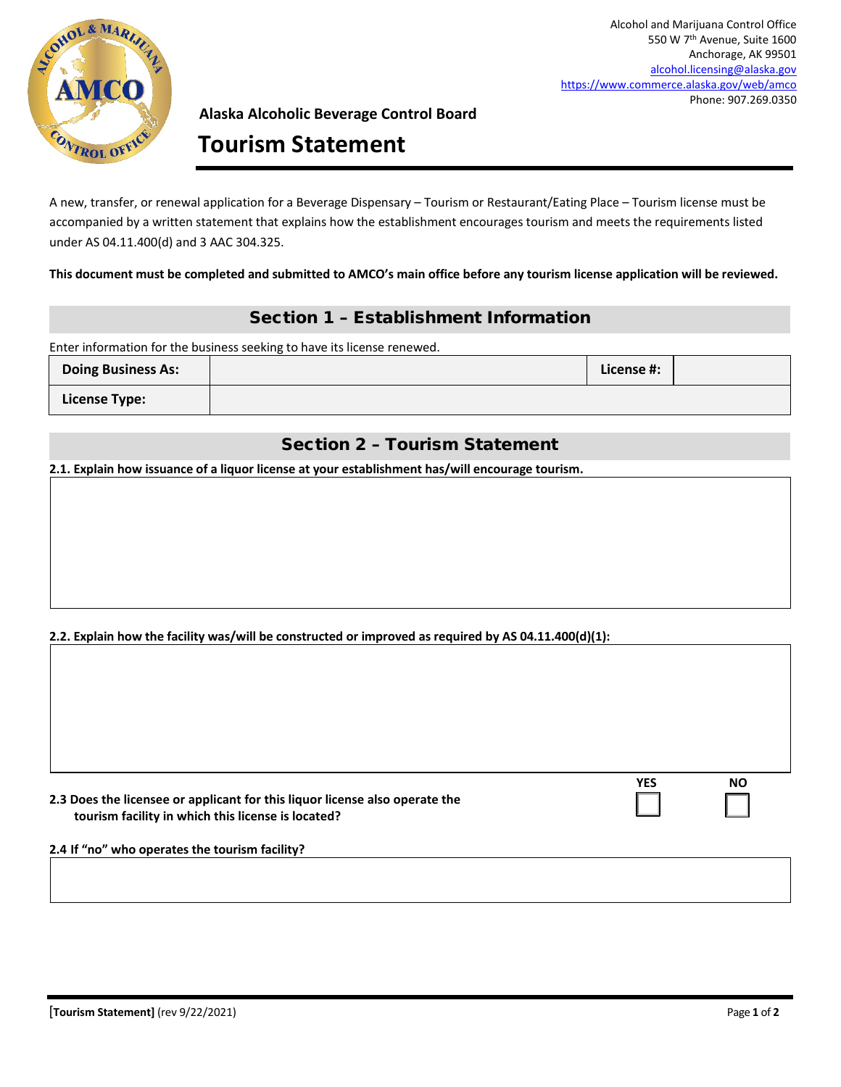

Alcohol and Marijuana Control Office 550 W 7th Avenue, Suite 1600 Anchorage, AK 99501 [alcohol.licensing@alaska.gov](mailto:alcohol.licensing@alaska.gov) <https://www.commerce.alaska.gov/web/amco> Phone: 907.269.0350

### **Alaska Alcoholic Beverage Control Board**

# **Tourism Statement**

A new, transfer, or renewal application for a Beverage Dispensary – Tourism or Restaurant/Eating Place – Tourism license must be accompanied by a written statement that explains how the establishment encourages tourism and meets the requirements listed under AS 04.11.400(d) and 3 AAC 304.325.

**This document must be completed and submitted to AMCO's main office before any tourism license application will be reviewed.**

## Section 1 – Establishment Information

Enter information for the business seeking to have its license renewed.

| Doing Business As: | License #: |  |
|--------------------|------------|--|
| License Type:      |            |  |

## Section 2 – Tourism Statement

**2.1. Explain how issuance of a liquor license at your establishment has/will encourage tourism.**

#### **2.2. Explain how the facility was/will be constructed or improved as required by AS 04.11.400(d)(1):**

| 2.3 Does the licensee or applicant for this liquor license also operate the |  |
|-----------------------------------------------------------------------------|--|
| tourism facility in which this license is located?                          |  |

| YES | NΟ |
|-----|----|
|     |    |

**2.4 If "no" who operates the tourism facility?**